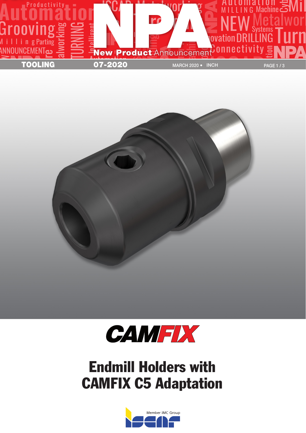





## Endmill Holders with CAMFIX C5 Adaptation

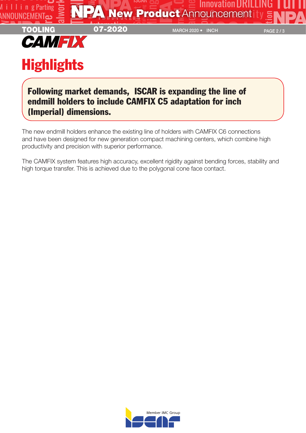

## Following market demands, ISCAR is expanding the line of endmill holders to include CAMFIX C5 adaptation for inch (Imperial) dimensions.

The new endmill holders enhance the existing line of holders with CAMFIX C6 connections and have been designed for new generation compact machining centers, which combine high productivity and precision with superior performance.

The CAMFIX system features high accuracy, excellent rigidity against bending forces, stability and high torque transfer. This is achieved due to the polygonal cone face contact.